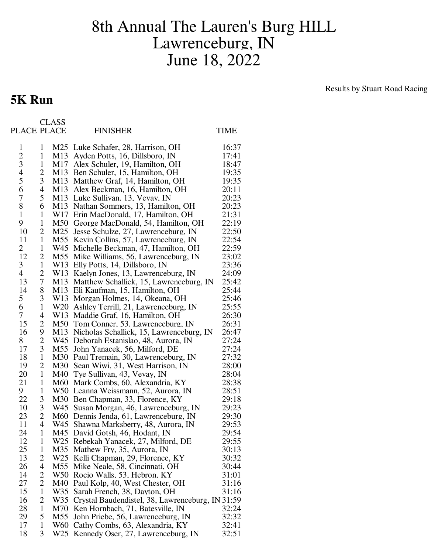## 8th Annual The Lauren's Burg HILL Lawrenceburg, IN June 18, 2022

## Results by Stuart Road Racing

|                |              | <b>CLASS</b>    |                                                      |       |
|----------------|--------------|-----------------|------------------------------------------------------|-------|
| PLACE PLACE    |              |                 | <b>FINISHER</b>                                      | TIME  |
| 1              | 1            |                 | M25 Luke Schafer, 28, Harrison, OH                   | 16:37 |
| $\overline{2}$ | $\mathbf{1}$ | M13             | Ayden Potts, 16, Dillsboro, IN                       | 17:41 |
| 3              | $\mathbf{1}$ | M17             | Alex Schuler, 19, Hamilton, OH                       | 18:47 |
| 4              | 2            | M <sub>13</sub> | Ben Schuler, 15, Hamilton, OH                        | 19:35 |
| 5              | 3            | M <sub>13</sub> | Matthew Graf, 14, Hamilton, OH                       | 19:35 |
| 6              | 4            | M13             | Alex Beckman, 16, Hamilton, OH                       | 20:11 |
| $\overline{7}$ | 5            | M13             | Luke Sullivan, 13, Vevay, IN                         | 20:23 |
| 8              | 6            | M13             | Nathan Sommers, 13, Hamilton, OH                     | 20:23 |
| $\mathbf{1}$   | $\mathbf{1}$ | W17             | Erin MacDonald, 17, Hamilton, OH                     | 21:31 |
| 9              | $\mathbf{1}$ | M50             | George MacDonald, 54, Hamilton, OH                   | 22:19 |
| 10             | 2            | M25             | Jesse Schulze, 27, Lawrenceburg, IN                  | 22:50 |
| 11             | $\mathbf{1}$ | M55             | Kevin Collins, 57, Lawrenceburg, IN                  | 22:54 |
| 2              | $\mathbf{1}$ | W45             | Michelle Beckman, 47, Hamilton, OH                   | 22:59 |
| 12             | 2            | M <sub>55</sub> | Mike Williams, 56, Lawrenceburg, IN                  | 23:02 |
| 3              | $\mathbf{1}$ |                 | W13 Elly Potts, 14, Dillsboro, IN                    | 23:36 |
| $\overline{4}$ | 2            |                 | W13 Kaelyn Jones, 13, Lawrenceburg, IN               | 24:09 |
| 13             | 7            | M13             | Matthew Schallick, 15, Lawrenceburg, IN              | 25:42 |
| 14             | 8            | M13             | Eli Kaufman, 15, Hamilton, OH                        | 25:44 |
| 5              | 3            | W13             | Morgan Holmes, 14, Okeana, OH                        | 25:46 |
| 6              | $\mathbf{1}$ | W <sub>20</sub> | Ashley Terrill, 21, Lawrenceburg, IN                 | 25:55 |
| 7              | 4            | W <sub>13</sub> | Maddie Graf, 16, Hamilton, OH                        | 26:30 |
| 15             | 2            | M50             | Tom Conner, 53, Lawrenceburg, IN                     | 26:31 |
| 16             | 9            | M13             | Nicholas Schallick, 15, Lawrenceburg, IN             | 26:47 |
| 8              | 2            | W45             | Deborah Estanislao, 48, Aurora, IN                   | 27:24 |
| 17             | 3            | M55             | John Yanacek, 56, Milford, DE                        | 27:24 |
| 18             | $\mathbf{1}$ | M30             | Paul Tremain, 30, Lawrenceburg, IN                   | 27:32 |
| 19             | 2            | M30             | Sean Wiwi, 31, West Harrison, IN                     | 28:00 |
| 20             | $\mathbf{1}$ | M40             | Tye Sullivan, 43, Vevay, IN                          | 28:04 |
| 21             | $\mathbf{1}$ | M60             | Mark Combs, 60, Alexandria, KY                       | 28:38 |
| 9              | $\mathbf{1}$ | W <sub>50</sub> | Leanna Weissmann, 52, Aurora, IN                     | 28:51 |
| 22             | 3            |                 | M30 Ben Chapman, 33, Florence, KY                    | 29:18 |
| 10             | 3            |                 | W45 Susan Morgan, 46, Lawrenceburg, IN               | 29:23 |
| 23             | 2            |                 | M60 Dennis Jenda, 61, Lawrenceburg, IN               | 29:30 |
| 11             | 4            | W45             | Shawna Marksberry, 48, Aurora, IN                    | 29:53 |
| 24             | 1            | M45             | David Gotsh, 46, Hodant, IN                          | 29:54 |
| 12             | 1            | W <sub>25</sub> | Rebekah Yanacek, 27, Milford, DE                     | 29:55 |
| 25             | 1            | M35             | Mathew Fry, 35, Aurora, IN                           | 30:13 |
| 13             | 2            |                 | W25 Kelli Chapman, 29, Florence, KY                  | 30:32 |
| 26             | 4            | M55             | Mike Neale, 58, Cincinnati, OH                       | 30:44 |
| 14             | 2            |                 | W50 Rocio Walls, 53, Hebron, KY                      | 31:01 |
| 27             | 2            |                 | M40 Paul Kolp, 40, West Chester, OH                  | 31:16 |
| 15             | $\mathbf{1}$ |                 | W35 Sarah French, 38, Dayton, OH                     | 31:16 |
| 16             | 2            |                 | W35 Crystal Baudendistel, 38, Lawrenceburg, IN 31:59 |       |
| 28             | $\mathbf{1}$ |                 | M70 Ken Hornbach, 71, Batesville, IN                 | 32:24 |
| 29             | 5            | M55             | John Priebe, 56, Lawrenceburg, IN                    | 32:32 |
| 17             | $\mathbf{1}$ |                 | W60 Cathy Combs, 63, Alexandria, KY                  | 32:41 |
| 18             | 3            | W25             | Kennedy Oser, 27, Lawrenceburg, IN                   | 32:51 |

**5K Run**